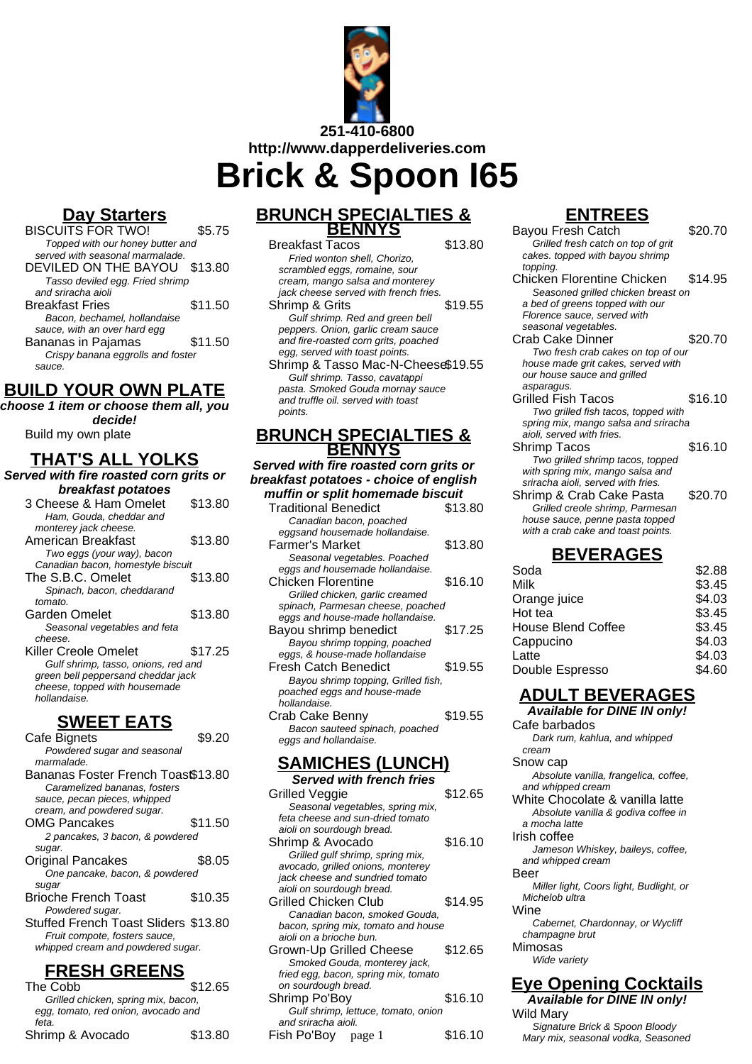

**Brick & Spoon I65**

## **Day Starters**

BISCUITS FOR TWO! \$5.75 Topped with our honey butter and served with seasonal marmalade. DEVILED ON THE BAYOU \$13.80 Tasso deviled egg. Fried shrimp and sriracha aioli Breakfast Fries \$11.50 Bacon, bechamel, hollandaise sauce, with an over hard egg Bananas in Pajamas  $\sim$  \$11.50 Crispy banana eggrolls and foster sauce.

## **BUILD YOUR OWN PLATE**

**choose 1 item or choose them all, you decide!**

Build my own plate

# **THAT'S ALL YOLKS**

**Served with fire roasted corn grits or breakfast potatoes** 3 Cheese & Ham Omelet \$13.80 Ham, Gouda, cheddar and monterey jack cheese.

| American Breakfast                  | \$13.80 |
|-------------------------------------|---------|
| Two eggs (your way), bacon          |         |
| Canadian bacon, homestyle biscuit   |         |
| The S.B.C. Omelet                   | \$13.80 |
| Spinach, bacon, cheddarand          |         |
| tomato.                             |         |
| Garden Omelet                       | \$13.80 |
| Seasonal vegetables and feta        |         |
| cheese.                             |         |
| Killer Creole Omelet                | \$17.25 |
| Gulf shrimp, tasso, onions, red and |         |
| green bell peppersand cheddar jack  |         |
| cheese, topped with housemade       |         |
| hollandaise.                        |         |

## **SWEET EATS**

| Cafe Bignets                         | \$9.20  |
|--------------------------------------|---------|
| Powdered sugar and seasonal          |         |
| marmalade.                           |         |
| Bananas Foster French Toast\$13.80   |         |
| Caramelized bananas, fosters         |         |
| sauce, pecan pieces, whipped         |         |
| cream, and powdered sugar.           |         |
| <b>OMG Pancakes</b>                  | \$11.50 |
| 2 pancakes, 3 bacon, & powdered      |         |
| sugar.                               |         |
| Original Pancakes                    | \$8.05  |
| One pancake, bacon, & powdered       |         |
| sugar                                |         |
| <b>Brioche French Toast</b>          | \$10.35 |
| Powdered sugar.                      |         |
| Stuffed French Toast Sliders \$13.80 |         |
| Fruit compote, fosters sauce,        |         |
| whipped cream and powdered sugar.    |         |
|                                      |         |

## **FRESH GREENS**

| The Cobb                            | \$12.65 |
|-------------------------------------|---------|
| Grilled chicken, spring mix, bacon, |         |
| egg, tomato, red onion, avocado and |         |
| feta.                               |         |
| Shrimp & Avocado                    | \$13.80 |
|                                     |         |

### **BRUNCH SPECIALTIES & BENNYS**

| <b>Breakfast Tacos</b>                | \$13.80 |
|---------------------------------------|---------|
| Fried wonton shell. Chorizo.          |         |
| scrambled eggs, romaine, sour         |         |
| cream, mango salsa and monterey       |         |
| jack cheese served with french fries. |         |
| Shrimp & Grits                        | \$19.55 |
| Gulf shrimp. Red and green bell       |         |
| peppers. Onion, garlic cream sauce    |         |
| and fire-roasted corn grits, poached  |         |
| egg, served with toast points.        |         |
| Shrimp & Tasso Mac-N-Cheese\$19.55    |         |
| Gulf shrimp. Tasso, cavatappi         |         |
| pasta. Smoked Gouda mornay sauce      |         |
| and truffle oil, served with toast    |         |
| points.                               |         |

#### **BRUNCH SPECIALTIES & BENNYS**

**Served with fire roasted corn grits or breakfast potatoes - choice of english muffin or split homemade biscuit**

| <b>Traditional Benedict</b>         | \$13.80 |
|-------------------------------------|---------|
| Canadian bacon, poached             |         |
| eggsand housemade hollandaise.      |         |
| Farmer's Market                     | \$13.80 |
| Seasonal vegetables. Poached        |         |
| eggs and housemade hollandaise.     |         |
| Chicken Florentine                  | \$16.10 |
| Grilled chicken, garlic creamed     |         |
| spinach, Parmesan cheese, poached   |         |
| eggs and house-made hollandaise.    |         |
| Bayou shrimp benedict               | \$17.25 |
| Bayou shrimp topping, poached       |         |
| eggs, & house-made hollandaise      |         |
| Fresh Catch Benedict                | \$19.55 |
| Bayou shrimp topping, Grilled fish, |         |
| poached eggs and house-made         |         |
| hollandaise.                        |         |
| Crab Cake Benny                     | \$19.55 |
| Bacon sauteed spinach, poached      |         |
| eggs and hollandaise.               |         |
|                                     |         |

## **SAMICHES (LUNCH)**

| <b>Served with french fries</b>      |         |
|--------------------------------------|---------|
| Grilled Veggie                       | \$12.65 |
| Seasonal vegetables, spring mix,     |         |
| feta cheese and sun-dried tomato     |         |
| aioli on sourdough bread.            |         |
| Shrimp & Avocado                     | \$16.10 |
| Grilled gulf shrimp, spring mix,     |         |
| avocado, grilled onions, monterey    |         |
| jack cheese and sundried tomato      |         |
| aioli on sourdough bread.            |         |
| Grilled Chicken Club                 | \$14.95 |
| Canadian bacon, smoked Gouda,        |         |
| bacon, spring mix, tomato and house  |         |
| aioli on a brioche bun.              |         |
| Grown-Up Grilled Cheese              | \$12.65 |
| Smoked Gouda, monterey jack,         |         |
| fried egg, bacon, spring mix, tomato |         |
| on sourdough bread.                  |         |
| Shrimp Po'Boy                        | \$16.10 |
| Gulf shrimp, lettuce, tomato, onion  |         |
| and sriracha aioli.                  |         |
| Fish Po'Boy page 1                   | \$16.10 |

# **ENTREES**

| ▎▘▎▎▚▃▃◡                             |         |
|--------------------------------------|---------|
| Bayou Fresh Catch                    | \$20.70 |
| Grilled fresh catch on top of grit   |         |
| cakes. topped with bayou shrimp      |         |
| topping.                             |         |
| Chicken Florentine Chicken           | \$14.95 |
| Seasoned grilled chicken breast on   |         |
| a bed of greens topped with our      |         |
| Florence sauce, served with          |         |
| seasonal vegetables.                 |         |
| Crab Cake Dinner                     | \$20.70 |
| Two fresh crab cakes on top of our   |         |
| house made grit cakes, served with   |         |
| our house sauce and grilled          |         |
| asparagus.                           |         |
| Grilled Fish Tacos                   | \$16.10 |
| Two grilled fish tacos, topped with  |         |
| spring mix, mango salsa and sriracha |         |
| aioli, served with fries.            |         |
| Shrimp Tacos                         | \$16.10 |
| Two grilled shrimp tacos, topped     |         |
| with spring mix, mango salsa and     |         |
| sriracha aioli, served with fries.   |         |
| Shrimp & Crab Cake Pasta             | \$20.70 |
| Grilled creole shrimp, Parmesan      |         |
| house sauce, penne pasta topped      |         |
| with a crab cake and toast points.   |         |
| n                                    |         |

## **BEVERAGES**

| Soda                      | \$2.88 |
|---------------------------|--------|
| Milk                      | \$3.45 |
| Orange juice              | \$4.03 |
| Hot tea                   | \$3.45 |
| <b>House Blend Coffee</b> | \$3.45 |
| Cappucino                 | \$4.03 |
| Latte                     | \$4.03 |
| Double Espresso           | \$4.60 |

# **ADULT BEVERAGES**

**Available for DINE IN only!** Cafe barbados Dark rum, kahlua, and whipped cream Snow cap Absolute vanilla, frangelica, coffee, and whipped cream White Chocolate & vanilla latte Absolute vanilla & godiva coffee in a mocha latte Irish coffee Jameson Whiskey, baileys, coffee, and whipped cream Beer Miller light, Coors light, Budlight, or Michelob ultra Wine Cabernet, Chardonnay, or Wycliff champagne brut Mimosas Wide variety **Eye Opening Cocktails**

**Available for DINE IN only!** Wild Mary Signature Brick & Spoon Bloody Mary mix, seasonal vodka, Seasoned